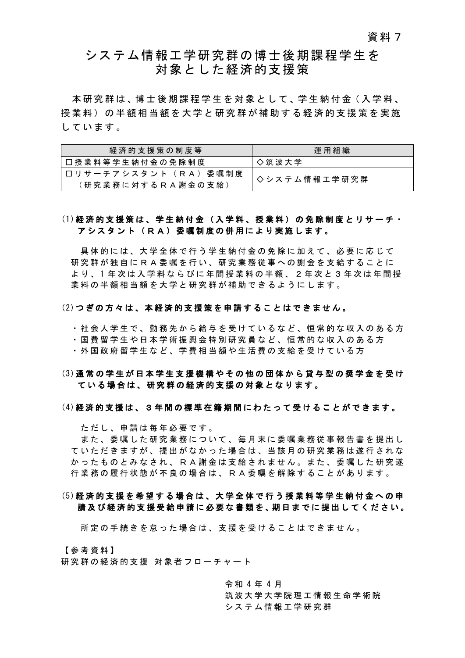## システム情報工学研究群の博士後期課程学生を 対象とした経済的支援策

本研究群は、博士後期課程学生を対象として、学生納付金(入学料、 授業料 ) の半額 相当額 を 大学と研究 群 が 補 助 す る 経済的支援策を実施 しています 。

| 経済的支援策の制度等                                                                | 運用組織         |
|---------------------------------------------------------------------------|--------------|
| 口授業料等学生納付金の免除制度                                                           | ◇ 筑 波 大 学    |
| 口 リ サ 一 チ ア シ ス タ ン ト ( R A ) 委 嘱 制 度<br>(研 究 業 務 に 対 す る R A 謝 金 の 支 給 ) | ◇システム情報工学研究群 |

## (1)経済的支援策は、学生納付金 (入学料、授業料) の免除制度 と リサーチ・ アシスタント (RA) 委嘱制度の併用により実施します。

具体的には、大学全体で行う学生納付金の免除に加えて、必要に応じて 研 究 群 が独自にRA 委嘱を行い、研究業務従事への謝金 を支給することに よ り 、 1 年 次 は 入 学 料 な ら び に 年 間 授 業 料 の 半 額 、 2 年 次 と 3 年 次 は 年 間 授 業料の半額 相当額を大学と研究 群 が補助できるようにします 。

#### (2)つぎの方々は、本 経済的支援 策 を申請することはできません。

・ 社会人学生で 、 勤務先から給与を受けているなど 、 恒常的な収入のある方

・ 国費留学生や日本学術振興会特別研究員 など、恒常的な収入のある方

・外国政府留学生など、学費相当額や生活費の支給を受けている方

## (3)通常の学生が日本学生支援機構やその他の団体から貸与型の奨学金を受け ている場合は 、研究 群 の 経済的支援の対象となります。

#### (4)経済的支援は、 3年間の標準在籍期間にわたって受けることができます 。

ただし、 申請は毎年必要です。

また、 委嘱した研究業務について、毎月末に委嘱業務従事報告書を提出し ていただきますが、提出がなかった場合は、当該月の研究業務は遂行されな かったものとみなされ、 R A 謝金は支給されません。また、委嘱した研究遂 行業務の履行状態が不良の場合は、RA委嘱を解除することがあります。

## (5)経済的支援を希望する 場 合 は 、 大学全体で行う授業料等学生納付金への申 請及び 経済的支援受給申請 に必要な 書類を 、期日までに提出 してください 。

所定の手続きを怠った場合 は 、 支援を受け ることはでき ません。

【参考資料】 研究群の経済的支援 対象者フローチャート

> 令 和 4 年 4 月 筑波大学大学院 理工情報生命学術院 システム情報工学研究群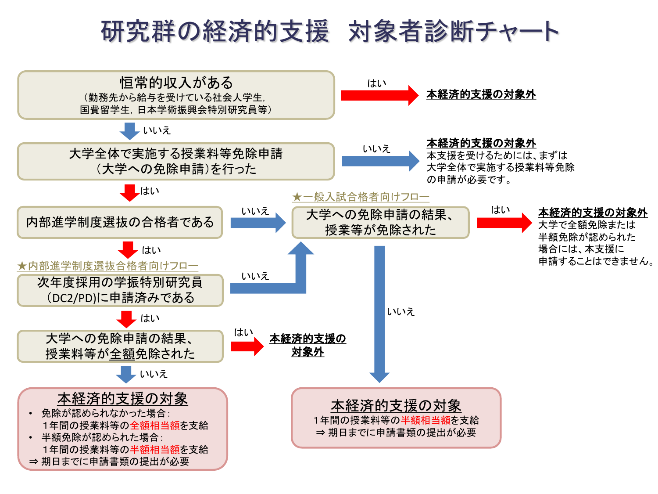# 研究群の経済的支援 対象者診断チャート

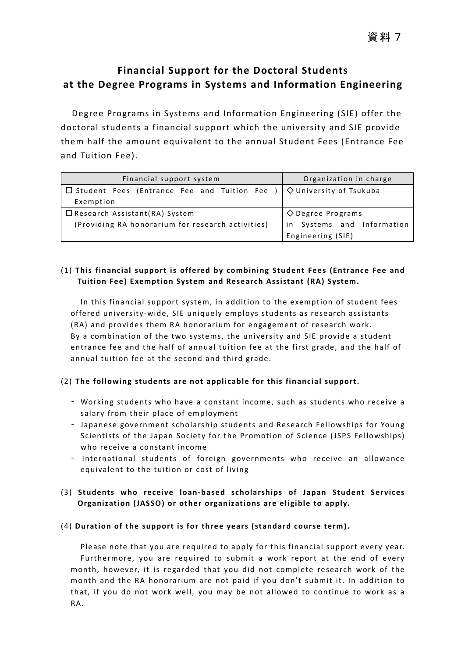## **Financial Support for the Doctoral Students at the Degree Programs in Systems and Information Engineering**

Degree Programs in Systems and Information Engineering (SIE) offer the doctoral students a financial support which the university and SIE provide them half the amount equivalent to the annual Student Fees (Entrance Fee and Tuition Fee).

| Financial support system                                                             | Organization in charge         |
|--------------------------------------------------------------------------------------|--------------------------------|
| $\Box$ Student Fees (Entrance Fee and Tuition Fee ) $\Diamond$ University of Tsukuba |                                |
| Exemption                                                                            |                                |
| $\Box$ Research Assistant(RA) System                                                 | $\Diamond$ Degree Programs     |
| (Providing RA honorarium for research activities)                                    | Systems and Information<br>in. |
|                                                                                      | Engineering (SIE)              |

## (1) **This financial support is offered by combining Student Fees (Entrance Fee and Tuition Fee) Exemption System and Research Assistant (RA) System.**

In this financial support system, in addition to the exemption of student fees offered university-wide, SIE uniquely employs students as research assistants (RA) and provides them RA honorarium for engagement of research work. By a combination of the two systems, the university and SIE provide a student entrance fee and the half of annual tuition fee at the first grade, and the half of annual tuition fee at the second and third grade.

## (2) **The following students are not applicable for this financial support.**

- Working students who have a constant income, such as students who receive a salary from their place of employment
- Japanese government scholarship students and Research Fellowships for Young Scientists of the Japan Society for the Promotion of Science (JSPS Fellowships) who receive a constant income
- International students of foreign governments who receive an allowance equivalent to the tuition or cost of living
- (3) **Students who receive loan-based scholarships of Japan Student Services Organization (JASSO) or other organizations are eligible to apply.**

## (4) **Duration of the support is for three years (standard course term).**

Please note that you are required to apply for this financial support every year. Furthermore, you are required to submit a work report at the end of every month, however, it is regarded that you did not complete research work of the month and the RA honorarium are not paid if you don't submit it. In addition to that, if you do not work well, you may be not allowed to continue to work as a RA.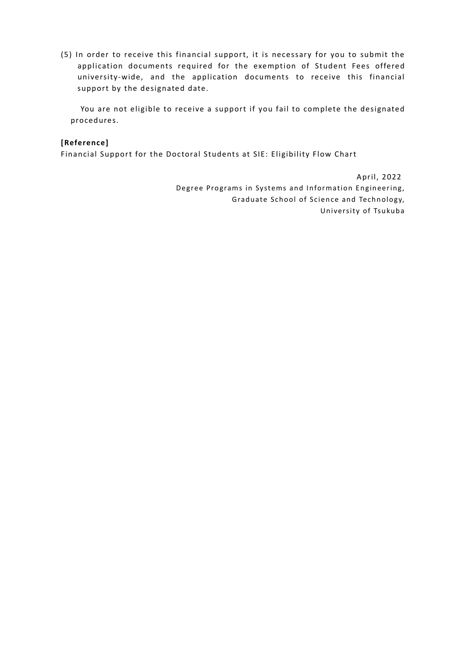(5) In order to receive this financial support, it is necessary for you to submit the application documents required for the exemption of Student Fees offered university-wide, and the application documents to receive this financial support by the designated date.

You are not eligible to receive a support if you fail to complete the designated procedures.

### **[Reference]**

Financial Support for the Doctoral Students at SIE: Eligibility Flow Chart

 April, 2022 Degree Programs in Systems and Information Engineering, Graduate School of Science and Technology, University of Tsukuba